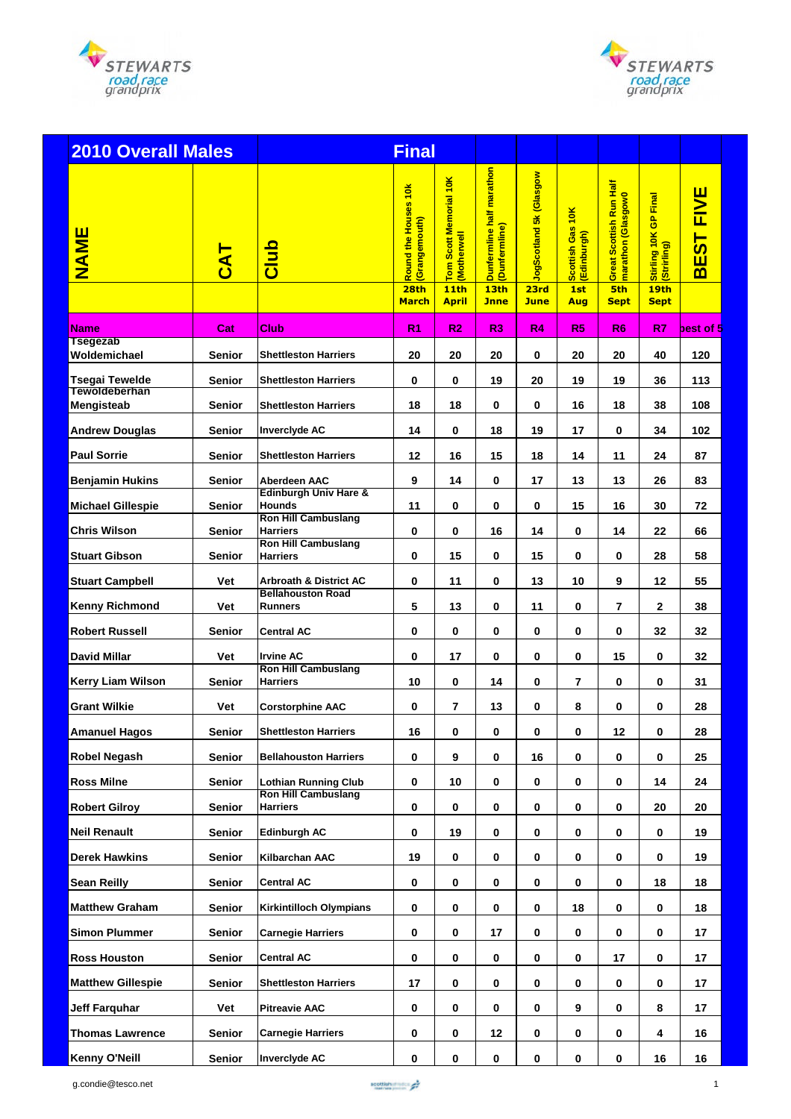



| <b>2010 Overall Males</b>                     |               |                                               | <b>Final</b>                                                  |                                                                          |                                                                   |                                                |                                               |                                                                            |                                                             |                                                                             |
|-----------------------------------------------|---------------|-----------------------------------------------|---------------------------------------------------------------|--------------------------------------------------------------------------|-------------------------------------------------------------------|------------------------------------------------|-----------------------------------------------|----------------------------------------------------------------------------|-------------------------------------------------------------|-----------------------------------------------------------------------------|
| <b>NAME</b>                                   | <b>CAT</b>    | Club                                          | Round the Houses 10k<br>(Grangemouth)<br>28th<br><b>March</b> | Scott Memorial 10K<br>Tom Scott M<br>(Motherwell<br>11th<br><b>April</b> | Dunfermline half marathon<br>(Dunfermline)<br>13th<br><b>Jnne</b> | JogScotland 5k (Glasgow<br>23rd<br><b>June</b> | Scottish Gas 10K<br>(Edinburgh)<br>1st<br>Aug | Great Scottish Run Half<br>marathon (Glasgow0<br><b>5th</b><br><b>Sept</b> | Stirling 10K GP Final<br>(Strirling)<br>19th<br><b>Sept</b> | Ш<br>$\overline{\Xi}$<br>$\overline{\mathbf{5}}$<br>$\overline{\mathbf{B}}$ |
| <b>Name</b>                                   | Cat           | Club                                          | R <sub>1</sub>                                                | R <sub>2</sub>                                                           | R3                                                                | R4                                             | R5                                            | R <sub>6</sub>                                                             | R7                                                          | best of 5                                                                   |
| <b>Tsegezab</b><br>Woldemichael               | Senior        | <b>Shettleston Harriers</b>                   | 20                                                            | 20                                                                       | 20                                                                | 0                                              | 20                                            | 20                                                                         | 40                                                          | 120                                                                         |
| <b>Tsegai Tewelde</b><br><b>Tewoldeberhan</b> | <b>Senior</b> | <b>Shettleston Harriers</b>                   | 0                                                             | 0                                                                        | 19                                                                | 20                                             | 19                                            | 19                                                                         | 36                                                          | 113                                                                         |
| Mengisteab                                    | <b>Senior</b> | <b>Shettleston Harriers</b>                   | 18                                                            | 18                                                                       | 0                                                                 | 0                                              | 16                                            | 18                                                                         | 38                                                          | 108                                                                         |
| <b>Andrew Douglas</b>                         | <b>Senior</b> | <b>Inverclyde AC</b>                          | 14                                                            | 0                                                                        | 18                                                                | 19                                             | 17                                            | 0                                                                          | 34                                                          | 102                                                                         |
| <b>Paul Sorrie</b>                            | <b>Senior</b> | <b>Shettleston Harriers</b>                   | 12                                                            | 16                                                                       | 15                                                                | 18                                             | 14                                            | 11                                                                         | 24                                                          | 87                                                                          |
| <b>Benjamin Hukins</b>                        | <b>Senior</b> | <b>Aberdeen AAC</b>                           | 9                                                             | 14                                                                       | 0                                                                 | 17                                             | 13                                            | 13                                                                         | 26                                                          | 83                                                                          |
| <b>Michael Gillespie</b>                      | <b>Senior</b> | Edinburgh Univ Hare &<br><b>Hounds</b>        | 11                                                            | 0                                                                        | 0                                                                 | 0                                              | 15                                            | 16                                                                         | 30                                                          | 72                                                                          |
| Chris Wilson                                  | <b>Senior</b> | <b>Ron Hill Cambuslang</b><br><b>Harriers</b> | 0                                                             | 0                                                                        | 16                                                                | 14                                             | $\bf{0}$                                      | 14                                                                         | 22                                                          | 66                                                                          |
| <b>Stuart Gibson</b>                          | <b>Senior</b> | <b>Ron Hill Cambuslang</b><br><b>Harriers</b> | 0                                                             | 15                                                                       | 0                                                                 | 15                                             | 0                                             | 0                                                                          | 28                                                          | 58                                                                          |
| <b>Stuart Campbell</b>                        | Vet           | <b>Arbroath &amp; District AC</b>             | 0                                                             | 11                                                                       | 0                                                                 | 13                                             | 10                                            | 9                                                                          | 12                                                          | 55                                                                          |
| <b>Kenny Richmond</b>                         | Vet           | <b>Bellahouston Road</b><br><b>Runners</b>    | 5                                                             | 13                                                                       | 0                                                                 | 11                                             | $\bf{0}$                                      | 7                                                                          | $\mathbf{2}$                                                | 38                                                                          |
| <b>Robert Russell</b>                         | <b>Senior</b> | <b>Central AC</b>                             | 0                                                             | 0                                                                        | 0                                                                 | 0                                              | 0                                             | 0                                                                          | 32                                                          | 32                                                                          |
| <b>David Millar</b>                           | Vet           | <b>Irvine AC</b>                              | 0                                                             | 17                                                                       | 0                                                                 | $\mathbf 0$                                    | 0                                             | 15                                                                         | 0                                                           | 32                                                                          |
| <b>Kerry Liam Wilson</b>                      | <b>Senior</b> | <b>Ron Hill Cambuslang</b><br><b>Harriers</b> | 10                                                            | 0                                                                        | 14                                                                | 0                                              | $\overline{7}$                                | 0                                                                          | 0                                                           | 31                                                                          |
| <b>Grant Wilkie</b>                           | Vet           | <b>Corstorphine AAC</b>                       | 0                                                             | 7                                                                        | 13                                                                | 0                                              | 8                                             | 0                                                                          | 0                                                           | 28                                                                          |
| <b>Amanuel Hagos</b>                          | Senior        | <b>Shettleston Harriers</b>                   | 16                                                            | 0                                                                        | 0                                                                 | 0                                              | 0                                             | 12                                                                         | 0                                                           | 28                                                                          |
| <b>Robel Negash</b>                           | <b>Senior</b> | <b>Bellahouston Harriers</b>                  | 0                                                             | 9                                                                        | 0                                                                 | 16                                             | 0                                             | 0                                                                          | 0                                                           | 25                                                                          |
| <b>Ross Milne</b>                             | Senior        | <b>Lothian Running Club</b>                   | $\pmb{0}$                                                     | 10                                                                       | 0                                                                 | $\mathbf 0$                                    | $\bf{0}$                                      | 0                                                                          | 14                                                          | 24                                                                          |
| <b>Robert Gilroy</b>                          | <b>Senior</b> | <b>Ron Hill Cambuslang</b><br><b>Harriers</b> | 0                                                             | 0                                                                        | 0                                                                 | $\bf{0}$                                       | 0                                             | 0                                                                          | 20                                                          | 20                                                                          |
| <b>Neil Renault</b>                           | <b>Senior</b> | <b>Edinburgh AC</b>                           | 0                                                             | 19                                                                       | 0                                                                 | $\bf{0}$                                       | 0                                             | 0                                                                          | 0                                                           | 19                                                                          |
| <b>Derek Hawkins</b>                          | <b>Senior</b> | Kilbarchan AAC                                | 19                                                            | 0                                                                        | 0                                                                 | $\bf{0}$                                       | 0                                             | 0                                                                          | 0                                                           | 19                                                                          |
| <b>Sean Reilly</b>                            | <b>Senior</b> | <b>Central AC</b>                             | 0                                                             | 0                                                                        | 0                                                                 | $\pmb{0}$                                      | $\mathbf 0$                                   | 0                                                                          | 18                                                          | 18                                                                          |
| <b>Matthew Graham</b>                         | Senior        | <b>Kirkintilloch Olympians</b>                | 0                                                             | 0                                                                        | 0                                                                 | $\pmb{0}$                                      | 18                                            | 0                                                                          | $\pmb{0}$                                                   | 18                                                                          |
| <b>Simon Plummer</b>                          | Senior        | <b>Carnegie Harriers</b>                      | 0                                                             | 0                                                                        | 17                                                                | $\bf{0}$                                       | 0                                             | 0                                                                          | 0                                                           | 17                                                                          |
| <b>Ross Houston</b>                           | Senior        | <b>Central AC</b>                             | $\bf{0}$                                                      | 0                                                                        | 0                                                                 | $\mathbf 0$                                    | $\mathbf 0$                                   | 17                                                                         | $\mathbf 0$                                                 | 17                                                                          |
| <b>Matthew Gillespie</b>                      | <b>Senior</b> | <b>Shettleston Harriers</b>                   | 17                                                            | 0                                                                        | 0                                                                 | $\bf{0}$                                       | 0                                             | 0                                                                          | 0                                                           | 17                                                                          |
| Jeff Farquhar                                 | Vet           | <b>Pitreavie AAC</b>                          | 0                                                             | 0                                                                        | 0                                                                 | $\bf{0}$                                       | 9                                             | 0                                                                          | 8                                                           | 17                                                                          |
| <b>Thomas Lawrence</b>                        | Senior        | <b>Carnegie Harriers</b>                      | 0                                                             | 0                                                                        | 12                                                                | 0                                              | $\bf{0}$                                      | 0                                                                          | 4                                                           | 16                                                                          |
| <b>Kenny O'Neill</b>                          | Senior        | Inverclyde AC                                 | $\pmb{0}$                                                     | 0                                                                        | $\pmb{0}$                                                         | $\pmb{0}$                                      | $\pmb{0}$                                     | 0                                                                          | 16                                                          | 16                                                                          |

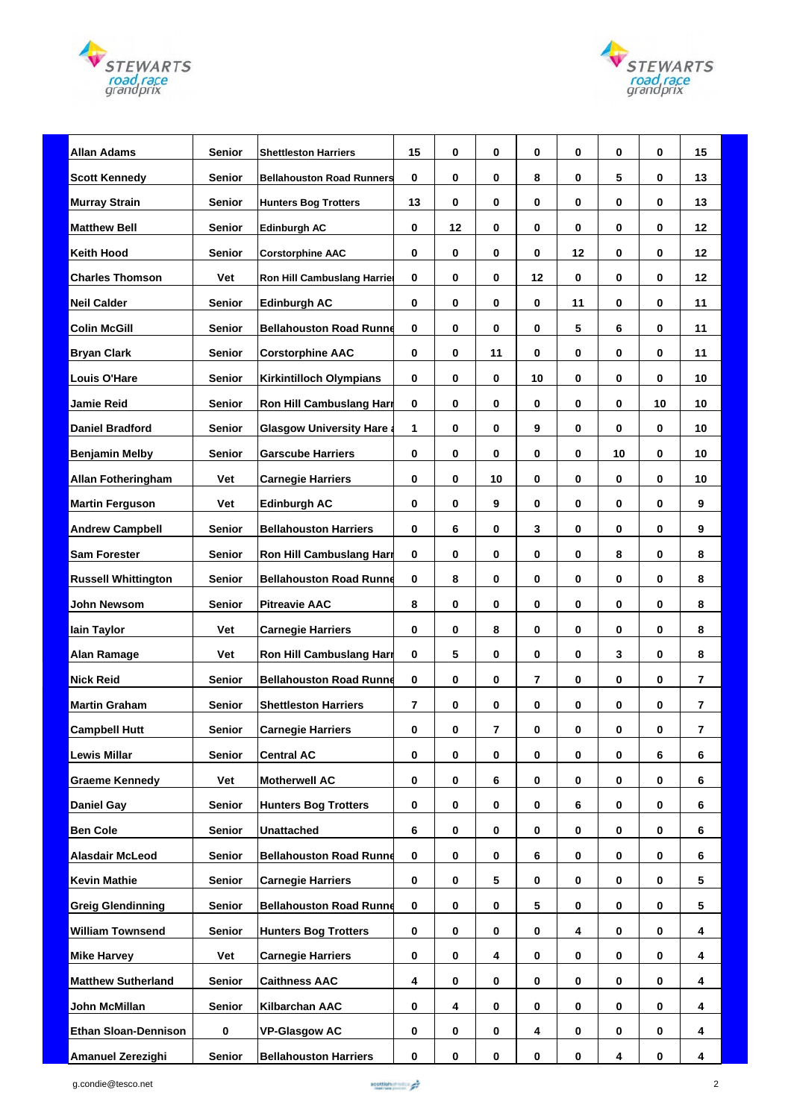



| <b>Allan Adams</b>          | <b>Senior</b> | <b>Shettleston Harriers</b>      | 15          | 0         | 0              | $\bf{0}$        | 0           | 0  | 0  | 15              |
|-----------------------------|---------------|----------------------------------|-------------|-----------|----------------|-----------------|-------------|----|----|-----------------|
| <b>Scott Kennedy</b>        | <b>Senior</b> | <b>Bellahouston Road Runners</b> | 0           | 0         | 0              | 8               | 0           | 5  | 0  | 13              |
| <b>Murray Strain</b>        | <b>Senior</b> | <b>Hunters Bog Trotters</b>      | 13          | 0         | 0              | 0               | 0           | 0  | 0  | 13              |
| <b>Matthew Bell</b>         | <b>Senior</b> | Edinburgh AC                     | 0           | 12        | 0              | 0               | 0           | 0  | 0  | 12 <sup>2</sup> |
| <b>Keith Hood</b>           | <b>Senior</b> | <b>Corstorphine AAC</b>          | 0           | 0         | 0              | 0               | 12          | 0  | 0  | 12              |
| <b>Charles Thomson</b>      | Vet           | Ron Hill Cambuslang Harrier      | 0           | 0         | 0              | 12 <sub>2</sub> | 0           | 0  | 0  | 12 <sup>2</sup> |
| <b>Neil Calder</b>          | <b>Senior</b> | <b>Edinburgh AC</b>              | 0           | 0         | 0              | 0               | 11          | 0  | 0  | 11              |
| <b>Colin McGill</b>         | <b>Senior</b> | <b>Bellahouston Road Runne</b>   | $\bf{0}$    | 0         | 0              | $\bf{0}$        | 5           | 6  | 0  | 11              |
| <b>Bryan Clark</b>          | <b>Senior</b> | <b>Corstorphine AAC</b>          | 0           | 0         | 11             | 0               | 0           | 0  | 0  | 11              |
| <b>Louis O'Hare</b>         | <b>Senior</b> | <b>Kirkintilloch Olympians</b>   | 0           | 0         | 0              | 10              | 0           | 0  | 0  | 10              |
| <b>Jamie Reid</b>           | <b>Senior</b> | Ron Hill Cambuslang Harr         | 0           | 0         | 0              | 0               | 0           | 0  | 10 | 10              |
| <b>Daniel Bradford</b>      | <b>Senior</b> | <b>Glasgow University Hare a</b> | 1           | 0         | 0              | 9               | 0           | 0  | 0  | 10              |
| <b>Benjamin Melby</b>       | <b>Senior</b> | <b>Garscube Harriers</b>         | 0           | 0         | 0              | $\bf{0}$        | 0           | 10 | 0  | 10              |
| <b>Allan Fotheringham</b>   | Vet           | <b>Carnegie Harriers</b>         | 0           | 0         | 10             | 0               | 0           | 0  | 0  | 10              |
| <b>Martin Ferguson</b>      | Vet           | <b>Edinburgh AC</b>              | $\bf{0}$    | 0         | 9              | 0               | 0           | 0  | 0  | 9               |
| <b>Andrew Campbell</b>      | <b>Senior</b> | <b>Bellahouston Harriers</b>     | 0           | 6         | 0              | 3               | 0           | 0  | 0  | 9               |
| <b>Sam Forester</b>         | <b>Senior</b> | <b>Ron Hill Cambuslang Harr</b>  | $\mathbf 0$ | 0         | 0              | 0               | 0           | 8  | 0  | 8               |
| <b>Russell Whittington</b>  | <b>Senior</b> | <b>Bellahouston Road Runne</b>   | 0           | 8         | 0              | 0               | 0           | 0  | 0  | 8               |
| John Newsom                 | <b>Senior</b> | <b>Pitreavie AAC</b>             | 8           | 0         | 0              | 0               | 0           | 0  | 0  | 8               |
| lain Taylor                 | Vet           | <b>Carnegie Harriers</b>         | 0           | 0         | 8              | 0               | 0           | 0  | 0  | 8               |
| <b>Alan Ramage</b>          | Vet           | Ron Hill Cambuslang Harr         | 0           | 5         | 0              | 0               | 0           | 3  | 0  | 8               |
| <b>Nick Reid</b>            | <b>Senior</b> | <b>Bellahouston Road Runne</b>   | 0           | 0         | 0              | $\overline{7}$  | 0           | 0  | 0  | $\overline{7}$  |
| <b>Martin Graham</b>        | Senior        | <b>Shettleston Harriers</b>      | 7           | 0         | 0              | 0               | 0           | 0  | 0  | 7               |
| <b>Campbell Hutt</b>        | <b>Senior</b> | <b>Carnegie Harriers</b>         | 0           | 0         | $\overline{7}$ | 0               | 0           | 0  | 0  | $\overline{7}$  |
| <b>Lewis Millar</b>         | <b>Senior</b> | <b>Central AC</b>                | 0           | 0         | 0              | $\pmb{0}$       | 0           | 0  | 6  | 6               |
| <b>Graeme Kennedy</b>       | Vet           | <b>Motherwell AC</b>             | 0           | 0         | 6              | 0               | 0           | 0  | 0  | 6               |
| <b>Daniel Gay</b>           | <b>Senior</b> | <b>Hunters Bog Trotters</b>      | $\mathbf 0$ | 0         | 0              | $\mathbf 0$     | 6           | 0  | 0  | 6               |
| <b>Ben Cole</b>             | <b>Senior</b> | <b>Unattached</b>                | 6           | 0         | 0              | $\pmb{0}$       | 0           | 0  | 0  | 6               |
| <b>Alasdair McLeod</b>      | <b>Senior</b> | <b>Bellahouston Road Runne</b>   | $\mathbf 0$ | 0         | 0              | 6               | 0           | 0  | 0  | 6               |
| <b>Kevin Mathie</b>         | Senior        | <b>Carnegie Harriers</b>         | $\pmb{0}$   | 0         | 5              | $\mathbf 0$     | 0           | 0  | 0  | 5               |
| <b>Greig Glendinning</b>    | <b>Senior</b> | <b>Bellahouston Road Runne</b>   | $\mathbf 0$ | 0         | 0              | 5               | 0           | 0  | 0  | 5               |
| <b>William Townsend</b>     | Senior        | <b>Hunters Bog Trotters</b>      | 0           | 0         | 0              | $\bf{0}$        | 4           | 0  | 0  | 4               |
| <b>Mike Harvey</b>          | Vet           | <b>Carnegie Harriers</b>         | $\mathbf 0$ | 0         | 4              | $\mathbf 0$     | 0           | 0  | 0  | 4               |
| <b>Matthew Sutherland</b>   | Senior        | <b>Caithness AAC</b>             | 4           | 0         | 0              | $\mathbf 0$     | 0           | 0  | 0  | 4               |
| John McMillan               | Senior        | Kilbarchan AAC                   | 0           | 4         | 0              | $\pmb{0}$       | 0           | 0  | 0  | 4               |
| <b>Ethan Sloan-Dennison</b> | $\mathbf 0$   | <b>VP-Glasgow AC</b>             | 0           | 0         | 0              | 4               | 0           | 0  | 0  | 4               |
| <b>Amanuel Zerezighi</b>    | <b>Senior</b> | <b>Bellahouston Harriers</b>     | 0           | $\pmb{0}$ | $\pmb{0}$      | $\pmb{0}$       | $\mathbf 0$ | 4  | 0  | 4               |

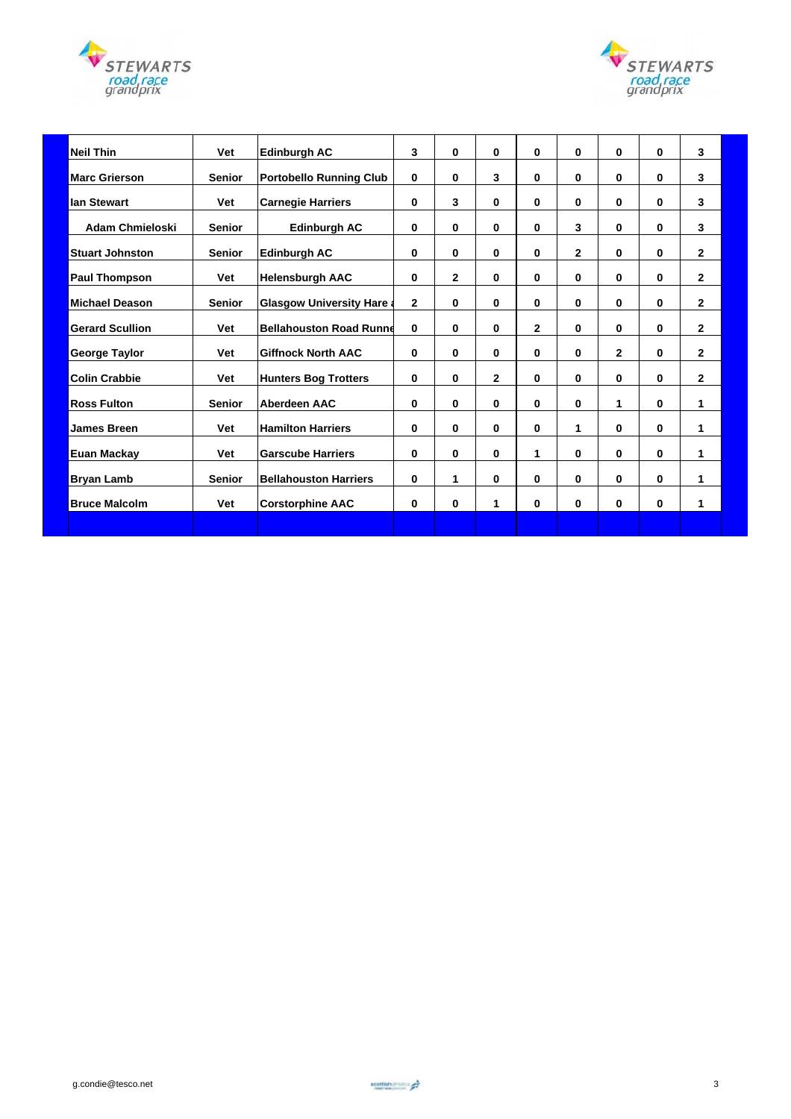



| <b>Neil Thin</b>       | <b>Vet</b>    | <b>Edinburgh AC</b>              | 3            | $\bf{0}$     | 0            | $\bf{0}$     | 0            | 0            | $\bf{0}$     | 3            |
|------------------------|---------------|----------------------------------|--------------|--------------|--------------|--------------|--------------|--------------|--------------|--------------|
| <b>Marc Grierson</b>   | <b>Senior</b> | <b>Portobello Running Club</b>   | $\bf{0}$     | 0            | 3            | $\bf{0}$     | 0            | 0            | $\bf{0}$     | 3            |
| <b>Ian Stewart</b>     | Vet           | <b>Carnegie Harriers</b>         | 0            | 3            | 0            | $\bf{0}$     | 0            | 0            | $\bf{0}$     | 3            |
| <b>Adam Chmieloski</b> | <b>Senior</b> | <b>Edinburgh AC</b>              | 0            | 0            | 0            | $\bf{0}$     | 3            | 0            | $\bf{0}$     | 3            |
| <b>Stuart Johnston</b> | <b>Senior</b> | <b>Edinburgh AC</b>              | 0            | $\bf{0}$     | 0            | $\bf{0}$     | $\mathbf{2}$ | 0            | $\mathbf 0$  | $\mathbf{2}$ |
| <b>Paul Thompson</b>   | Vet           | <b>Helensburgh AAC</b>           | 0            | $\mathbf{2}$ | 0            | 0            | 0            | 0            | $\bf{0}$     | $\mathbf{2}$ |
| <b>Michael Deason</b>  | <b>Senior</b> | <b>Glasgow University Hare a</b> | $\mathbf{2}$ | $\bf{0}$     | 0            | $\bf{0}$     | 0            | 0            | $\mathbf 0$  | $\mathbf{2}$ |
| <b>Gerard Scullion</b> | Vet           | <b>Bellahouston Road Runne</b>   | $\bf{0}$     | 0            | 0            | $\mathbf{2}$ | 0            | 0            | $\bf{0}$     | $\mathbf{2}$ |
| George Taylor          | Vet           | <b>Giffnock North AAC</b>        | 0            | 0            | 0            | $\bf{0}$     | 0            | $\mathbf{2}$ | $\bf{0}$     | $\mathbf{2}$ |
| <b>Colin Crabbie</b>   | <b>Vet</b>    | <b>Hunters Bog Trotters</b>      | $\mathbf 0$  | 0            | $\mathbf{2}$ | $\bf{0}$     | 0            | 0            | $\mathbf 0$  | $\mathbf{2}$ |
| <b>Ross Fulton</b>     | <b>Senior</b> | <b>Aberdeen AAC</b>              | 0            | $\bf{0}$     | 0            | $\bf{0}$     | 0            | 1            | $\mathbf 0$  | 1            |
| <b>James Breen</b>     | Vet           | <b>Hamilton Harriers</b>         | $\bf{0}$     | $\bf{0}$     | $\bf{0}$     | $\bf{0}$     | 1            | 0            | $\mathbf{0}$ | 1            |
| Euan Mackay            | Vet           | <b>Garscube Harriers</b>         | 0            | 0            | 0            | 1            | 0            | 0            | $\bf{0}$     | 1            |
| <b>Bryan Lamb</b>      | <b>Senior</b> | <b>Bellahouston Harriers</b>     | 0            | 1.           | 0            | $\bf{0}$     | 0            | 0            | $\bf{0}$     | 1            |
| <b>Bruce Malcolm</b>   | Vet           | <b>Corstorphine AAC</b>          | $\bf{0}$     | $\bf{0}$     | 1            | $\bf{0}$     | $\bf{0}$     | 0            | $\mathbf{0}$ | 1            |
|                        |               |                                  |              |              |              |              |              |              |              |              |

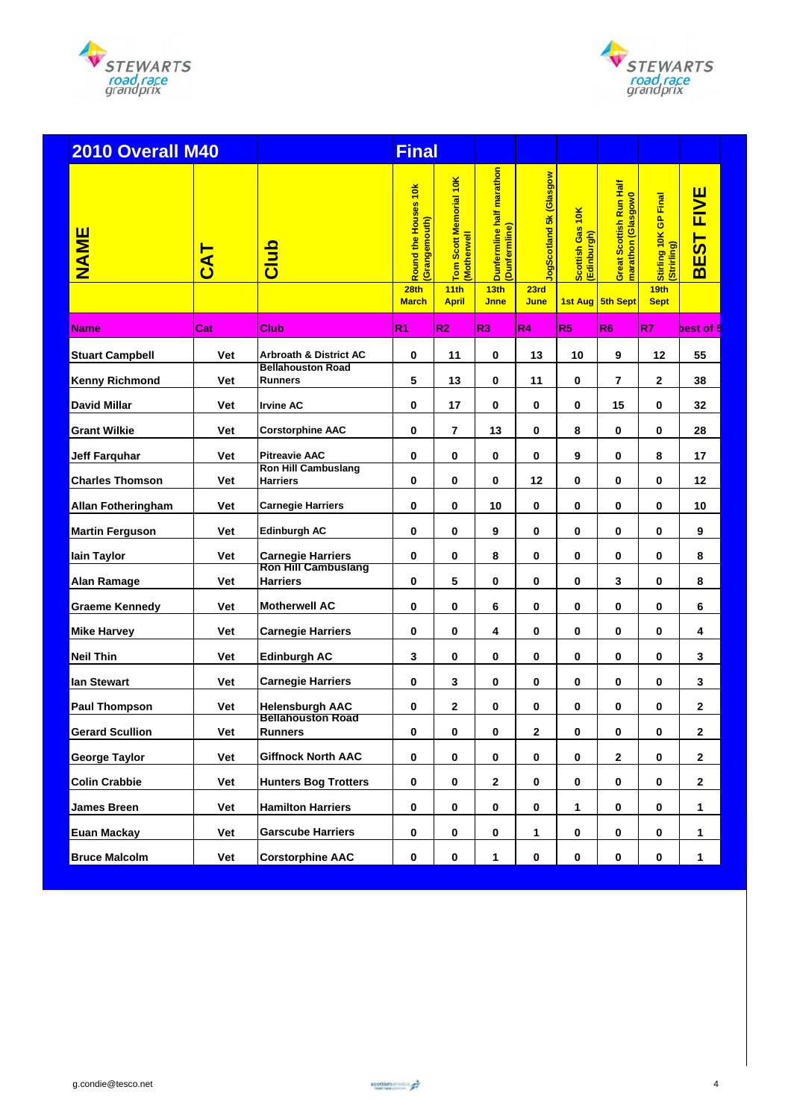



| <b>2010 Overall M40</b>   |                |                                                    | <b>Final</b>                         |                                             |                                            |                         |                                 |                                               |                                      |                                                                              |
|---------------------------|----------------|----------------------------------------------------|--------------------------------------|---------------------------------------------|--------------------------------------------|-------------------------|---------------------------------|-----------------------------------------------|--------------------------------------|------------------------------------------------------------------------------|
| <b>NAME</b>               | $\overline{A}$ | Club                                               | Round the Houses 10k<br>Grangemouth) | Tom Scott Memorial 10K<br><b>Motherwell</b> | Dunfermline half marathon<br>(Dunfermline) | logScotland 5k (Glasgow | Scottish Gas 10K<br>(Edinburgh) | Great Scottish Run Half<br>marathon (Glasgow0 | Stirling 10K GP Final<br>(Strirling) | Ш<br>$\mathsf{E}$<br>$\overline{\mathbf{5}}$<br>Ш<br>$\overline{\mathbf{m}}$ |
|                           |                |                                                    | 28th<br><b>March</b>                 | 11th<br><b>April</b>                        | 13 <sub>th</sub><br><b>Jnne</b>            | 23rd<br>June            | 1st Aug                         | 5th Sept                                      | 19th<br><b>Sept</b>                  |                                                                              |
| <b>Name</b>               | Cat            | Club                                               | R <sub>1</sub>                       | R <sub>2</sub>                              | R3                                         | R <sub>4</sub>          | R <sub>5</sub>                  | R <sub>6</sub>                                | R <sub>7</sub>                       | best of 5                                                                    |
| <b>Stuart Campbell</b>    | Vet            | <b>Arbroath &amp; District AC</b>                  | 0                                    | 11                                          | 0                                          | 13                      | 10                              | 9                                             | 12                                   | 55                                                                           |
| <b>Kenny Richmond</b>     | Vet            | <b>Bellahouston Road</b><br><b>Runners</b>         | 5                                    | 13                                          | $\mathbf 0$                                | 11                      | $\bf{0}$                        | $\overline{\mathbf{r}}$                       | $\mathbf{2}$                         | 38                                                                           |
| <b>David Millar</b>       | Vet            | <b>Irvine AC</b>                                   | 0                                    | 17                                          | 0                                          | $\bf{0}$                | 0                               | 15                                            | 0                                    | 32                                                                           |
| <b>Grant Wilkie</b>       | Vet            | <b>Corstorphine AAC</b>                            | 0                                    | $\overline{7}$                              | 13                                         | $\bf{0}$                | 8                               | 0                                             | $\mathbf 0$                          | 28                                                                           |
| <b>Jeff Farquhar</b>      | Vet            | <b>Pitreavie AAC</b>                               | 0                                    | 0                                           | 0                                          | 0                       | 9                               | 0                                             | 8                                    | 17                                                                           |
| <b>Charles Thomson</b>    | Vet            | <b>Ron Hill Cambuslang</b><br><b>Harriers</b>      | 0                                    | 0                                           | 0                                          | 12                      | 0                               | 0                                             | $\bf{0}$                             | 12                                                                           |
| <b>Allan Fotheringham</b> | Vet            | <b>Carnegie Harriers</b>                           | 0                                    | 0                                           | 10                                         | $\bf{0}$                | 0                               | 0                                             | 0                                    | 10                                                                           |
| <b>Martin Ferguson</b>    | Vet            | Edinburgh AC                                       | 0                                    | 0                                           | 9                                          | $\mathbf 0$             | 0                               | 0                                             | $\bf{0}$                             | 9                                                                            |
| lain Taylor               | Vet            | <b>Carnegie Harriers</b>                           | 0                                    | 0                                           | 8                                          | 0                       | 0                               | 0                                             | 0                                    | 8                                                                            |
| Alan Ramage               | Vet            | <b>Ron Hill Cambuslang</b><br><b>Harriers</b>      | 0                                    | 5                                           | 0                                          | 0                       | 0                               | 3                                             | 0                                    | 8                                                                            |
| <b>Graeme Kennedy</b>     | Vet            | <b>Motherwell AC</b>                               | 0                                    | 0                                           | 6                                          | 0                       | 0                               | 0                                             | 0                                    | 6                                                                            |
| <b>Mike Harvey</b>        | Vet            | <b>Carnegie Harriers</b>                           | 0                                    | 0                                           | 4                                          | 0                       | 0                               | 0                                             | 0                                    | 4                                                                            |
| <b>Neil Thin</b>          | Vet            | <b>Edinburgh AC</b>                                | 3                                    | 0                                           | 0                                          | 0                       | 0                               | 0                                             | $\bf{0}$                             | 3                                                                            |
| lan Stewart               | Vet            | <b>Carnegie Harriers</b>                           | 0                                    | 3                                           | $\mathbf 0$                                | 0                       | 0                               | 0                                             | 0                                    | 3                                                                            |
| <b>Paul Thompson</b>      | Vet            | <b>Helensburgh AAC</b><br><b>Bellahouston Road</b> | 0                                    | 2                                           | 0                                          | 0                       | 0                               | 0                                             | 0                                    | $\mathbf{2}$                                                                 |
| <b>Gerard Scullion</b>    | Vet            | <b>Runners</b>                                     | 0                                    | 0                                           | $\pmb{0}$                                  | 2                       | 0                               | 0                                             | 0                                    | 2                                                                            |
| <b>George Taylor</b>      | Vet            | <b>Giffnock North AAC</b>                          | 0                                    | 0                                           | $\pmb{0}$                                  | 0                       | 0                               | $\mathbf{2}$                                  | $\bf{0}$                             | $\mathbf{2}$                                                                 |
| <b>Colin Crabbie</b>      | Vet            | <b>Hunters Bog Trotters</b>                        | $\pmb{0}$                            | 0                                           | $\mathbf{2}$                               | $\pmb{0}$               | 0                               | 0                                             | $\bf{0}$                             | $\mathbf{2}$                                                                 |
| <b>James Breen</b>        | Vet            | <b>Hamilton Harriers</b>                           | 0                                    | 0                                           | 0                                          | 0                       | 1                               | 0                                             | $\bf{0}$                             | $\mathbf{1}$                                                                 |
| Euan Mackay               | Vet            | <b>Garscube Harriers</b>                           | 0                                    | 0                                           | $\mathbf 0$                                | 1                       | 0                               | 0                                             | 0                                    | $\mathbf{1}$                                                                 |
| <b>Bruce Malcolm</b>      | Vet            | <b>Corstorphine AAC</b>                            | $\pmb{0}$                            | $\pmb{0}$                                   | $\mathbf 1$                                | $\mathbf 0$             | $\pmb{0}$                       | $\mathbf 0$                                   | $\pmb{0}$                            | $\mathbf 1$                                                                  |

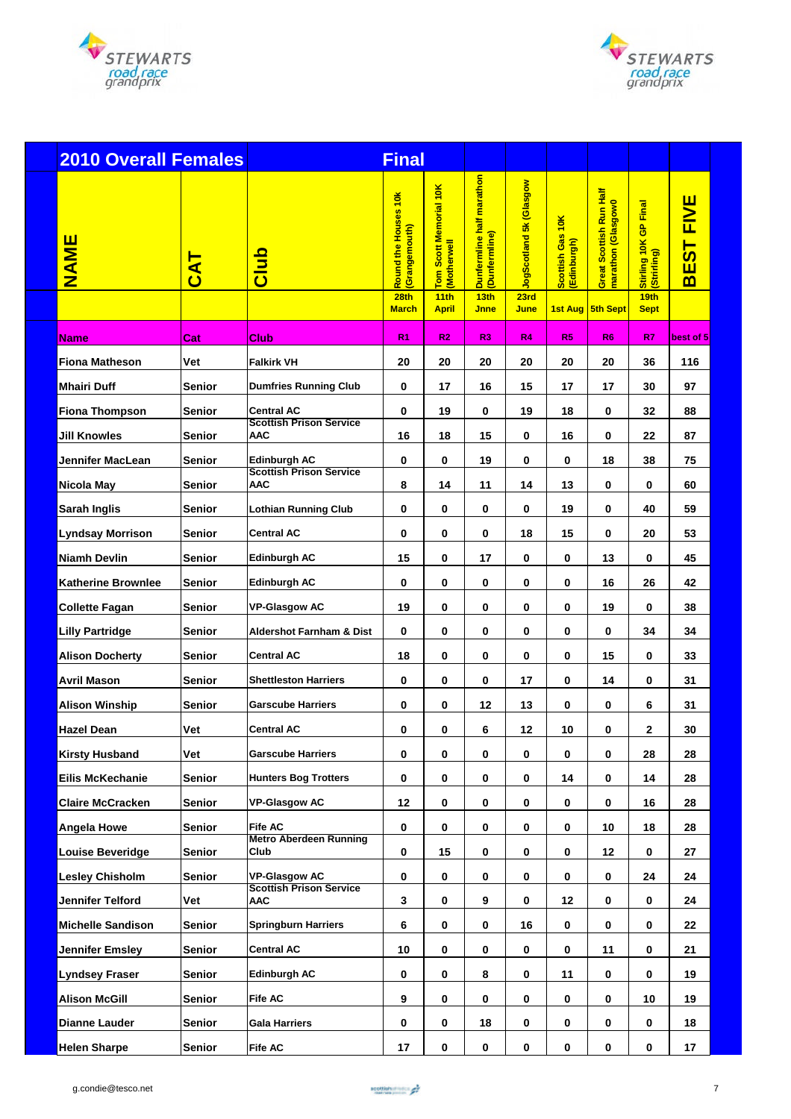



| <b>2010 Overall Females</b> |               |                                                       | <b>Final</b>                                              |                                               |                                                    |                                 |                                 |                                               |                                                                 |                            |
|-----------------------------|---------------|-------------------------------------------------------|-----------------------------------------------------------|-----------------------------------------------|----------------------------------------------------|---------------------------------|---------------------------------|-----------------------------------------------|-----------------------------------------------------------------|----------------------------|
| <b>NAME</b>                 | <b>JAJ</b>    | <u>dub</u>                                            | Round the Houses 10k<br>(Grangemouth)<br>28 <sub>th</sub> | Tom Scott Memorial 10K<br>(Motherwell<br>11th | Dunfermline half marathon<br>(Dunfermline)<br>13th | JogScotland 5k (Glasgow<br>23rd | Scottish Gas 10K<br>(Edinburgh) | Great Scottish Run Half<br>marathon (Glasgow0 | Final<br>$\frac{a}{c}$<br>Stirling 10K (<br>(Strirling)<br>19th | <b>FIVE</b><br><b>BEST</b> |
|                             |               |                                                       | <b>March</b>                                              | <b>April</b>                                  | <b>Jnne</b>                                        | June                            |                                 | 1st Aug   5th Sept                            | <b>Sept</b>                                                     |                            |
| <b>Name</b>                 | Cat           | Club                                                  | R <sub>1</sub>                                            | R <sub>2</sub>                                | R3                                                 | R <sub>4</sub>                  | R <sub>5</sub>                  | R <sub>6</sub>                                | R7                                                              | best of 5                  |
| Fiona Matheson              | Vet           | <b>Falkirk VH</b>                                     | 20                                                        | 20                                            | 20                                                 | 20                              | 20                              | 20                                            | 36                                                              | 116                        |
| <b>Mhairi Duff</b>          | <b>Senior</b> | <b>Dumfries Running Club</b>                          | 0                                                         | 17                                            | 16                                                 | 15                              | 17                              | 17                                            | 30                                                              | 97                         |
| <b>Fiona Thompson</b>       | Senior        | <b>Central AC</b><br><b>Scottish Prison Service</b>   | 0                                                         | 19                                            | 0                                                  | 19                              | 18                              | 0                                             | 32                                                              | 88                         |
| <b>Jill Knowles</b>         | Senior        | <b>AAC</b>                                            | 16                                                        | 18                                            | 15                                                 | 0                               | 16                              | 0                                             | 22                                                              | 87                         |
| <b>Jennifer MacLean</b>     | <b>Senior</b> | <b>Edinburgh AC</b><br><b>Scottish Prison Service</b> | 0                                                         | 0                                             | 19                                                 | 0                               | 0                               | 18                                            | 38                                                              | 75                         |
| Nicola May                  | Senior        | <b>AAC</b>                                            | 8                                                         | 14                                            | 11                                                 | 14                              | 13                              | 0                                             | 0                                                               | 60                         |
| Sarah Inglis                | <b>Senior</b> | <b>Lothian Running Club</b>                           | 0                                                         | $\bf{0}$                                      | 0                                                  | 0                               | 19                              | 0                                             | 40                                                              | 59                         |
| <b>Lyndsay Morrison</b>     | Senior        | <b>Central AC</b>                                     | 0                                                         | 0                                             | 0                                                  | 18                              | 15                              | 0                                             | 20                                                              | 53                         |
| <b>Niamh Devlin</b>         | Senior        | <b>Edinburgh AC</b>                                   | 15                                                        | 0                                             | 17                                                 | 0                               | 0                               | 13                                            | 0                                                               | 45                         |
| <b>Katherine Brownlee</b>   | Senior        | <b>Edinburgh AC</b>                                   | 0                                                         | 0                                             | 0                                                  | 0                               | 0                               | 16                                            | 26                                                              | 42                         |
| <b>Collette Fagan</b>       | <b>Senior</b> | <b>VP-Glasgow AC</b>                                  | 19                                                        | $\bf{0}$                                      | $\mathbf{0}$                                       | 0                               | 0                               | 19                                            | $\bf{0}$                                                        | 38                         |
| <b>Lilly Partridge</b>      | Senior        | <b>Aldershot Farnham &amp; Dist</b>                   | 0                                                         | 0                                             | 0                                                  | 0                               | 0                               | 0                                             | 34                                                              | 34                         |
| <b>Alison Docherty</b>      | <b>Senior</b> | <b>Central AC</b>                                     | 18                                                        | $\bf{0}$                                      | $\bf{0}$                                           | 0                               | 0                               | 15                                            | 0                                                               | 33                         |
| Avril Mason                 | <b>Senior</b> | <b>Shettleston Harriers</b>                           | 0                                                         | 0                                             | 0                                                  | 17                              | 0                               | 14                                            | 0                                                               | 31                         |
| <b>Alison Winship</b>       | Senior        | <b>Garscube Harriers</b>                              | 0                                                         | 0                                             | 12                                                 | 13                              | 0                               | 0                                             | 6                                                               | 31                         |
| <b>Hazel Dean</b>           | Vet           | <b>Central AC</b>                                     | 0                                                         | 0                                             | 6                                                  | 12                              | 10                              | 0                                             | 2                                                               | 30                         |
| <b>Kirsty Husband</b>       | Vet           | <b>Garscube Harriers</b>                              | 0                                                         | 0                                             | 0                                                  | 0                               | 0                               | 0                                             | 28                                                              | 28                         |
| <b>Eilis McKechanie</b>     | <b>Senior</b> | <b>Hunters Bog Trotters</b>                           | 0                                                         | $\mathbf 0$                                   | 0                                                  | 0                               | 14                              | 0                                             | 14                                                              | 28                         |
| <b>Claire McCracken</b>     | <b>Senior</b> | <b>VP-Glasgow AC</b>                                  | 12                                                        | 0                                             | 0                                                  | 0                               | 0                               | 0                                             | 16                                                              | 28                         |
| <b>Angela Howe</b>          | <b>Senior</b> | <b>Fife AC</b>                                        | 0                                                         | $\pmb{0}$                                     | 0                                                  | 0                               | 0                               | 10                                            | 18                                                              | 28                         |
| <b>Louise Beveridge</b>     | <b>Senior</b> | <b>Metro Aberdeen Running</b><br>Club                 | 0                                                         | 15                                            | 0                                                  | 0                               | 0                               | 12                                            | 0                                                               | 27                         |
| <b>Lesley Chisholm</b>      | <b>Senior</b> | <b>VP-Glasgow AC</b>                                  | 0                                                         | 0                                             | $\mathbf 0$                                        | 0                               | 0                               | 0                                             | 24                                                              | 24                         |
| Jennifer Telford            | Vet           | <b>Scottish Prison Service</b><br><b>AAC</b>          | 3                                                         | 0                                             | 9                                                  | 0                               | 12                              | 0                                             | 0                                                               | 24                         |
| <b>Michelle Sandison</b>    | <b>Senior</b> | <b>Springburn Harriers</b>                            | 6                                                         | 0                                             | 0                                                  | 16                              | 0                               | 0                                             | 0                                                               | 22                         |
| <b>Jennifer Emsley</b>      | <b>Senior</b> | <b>Central AC</b>                                     | 10                                                        | $\mathbf 0$                                   | 0                                                  | 0                               | 0                               | 11                                            | 0                                                               | 21                         |
| <b>Lyndsey Fraser</b>       | <b>Senior</b> | <b>Edinburgh AC</b>                                   | 0                                                         | 0                                             | 8                                                  | 0                               | 11                              | 0                                             | 0                                                               | 19                         |
| <b>Alison McGill</b>        | Senior        | Fife AC                                               | 9                                                         | 0                                             | 0                                                  | 0                               | 0                               | 0                                             | 10                                                              | 19                         |
| Dianne Lauder               | <b>Senior</b> | <b>Gala Harriers</b>                                  | 0                                                         | 0                                             | 18                                                 | 0                               | 0                               | 0                                             | 0                                                               | 18                         |
| <b>Helen Sharpe</b>         | <b>Senior</b> | <b>Fife AC</b>                                        | 17                                                        | $\pmb{0}$                                     | $\pmb{0}$                                          | $\pmb{0}$                       | 0                               | $\pmb{0}$                                     | $\mathbf 0$                                                     | 17                         |
|                             |               |                                                       |                                                           |                                               |                                                    |                                 |                                 |                                               |                                                                 |                            |

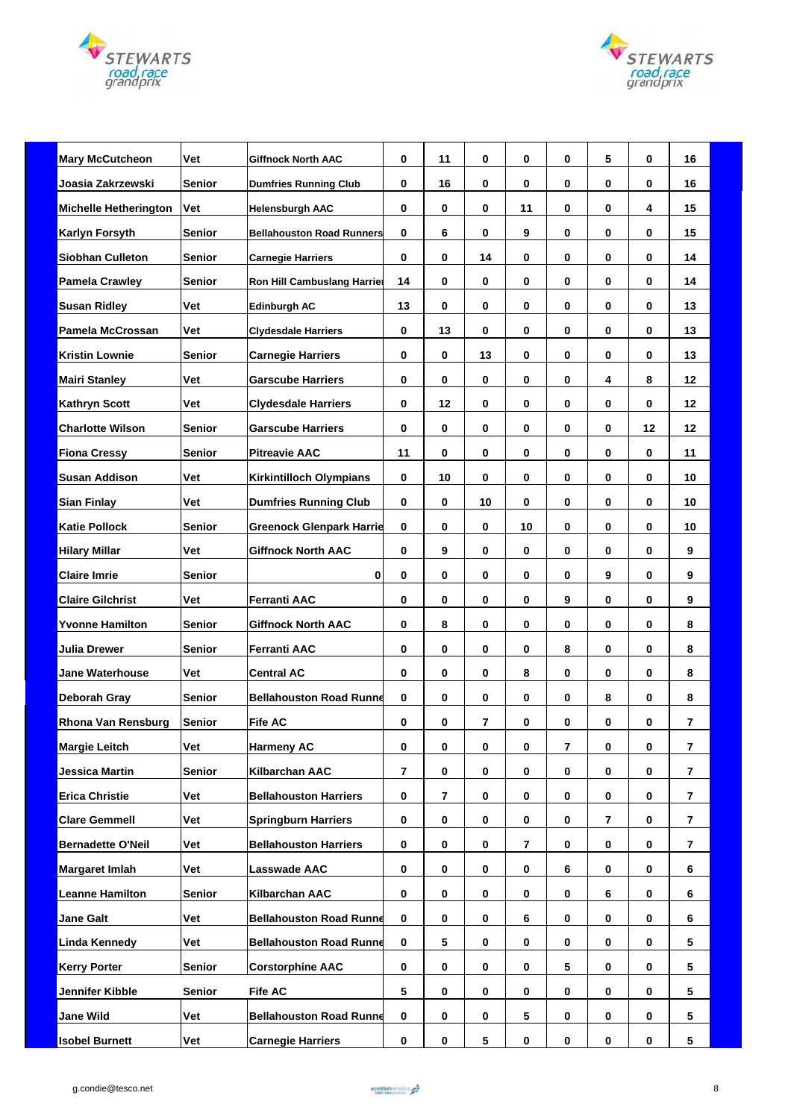



| <b>Mary McCutcheon</b>       | Vet           | <b>Giffnock North AAC</b>          | 0              | 11                      | 0               | 0           | 0           | 5           | 0  | 16              |
|------------------------------|---------------|------------------------------------|----------------|-------------------------|-----------------|-------------|-------------|-------------|----|-----------------|
| Joasia Zakrzewski            | <b>Senior</b> | <b>Dumfries Running Club</b>       | 0              | 16                      | 0               | 0           | 0           | 0           | 0  | 16              |
| <b>Michelle Hetherington</b> | Vet           | <b>Helensburgh AAC</b>             | 0              | 0                       | 0               | 11          | 0           | 0           | 4  | 15              |
| <b>Karlyn Forsyth</b>        | <b>Senior</b> | <b>Bellahouston Road Runners</b>   | 0              | 6                       | 0               | 9           | 0           | 0           | 0  | 15              |
| <b>Siobhan Culleton</b>      | <b>Senior</b> | <b>Carnegie Harriers</b>           | 0              | 0                       | 14              | 0           | 0           | 0           | 0  | 14              |
| <b>Pamela Crawley</b>        | <b>Senior</b> | <b>Ron Hill Cambuslang Harriel</b> | 14             | 0                       | 0               | 0           | 0           | 0           | 0  | 14              |
| <b>Susan Ridley</b>          | Vet           | Edinburgh AC                       | 13             | 0                       | 0               | 0           | 0           | 0           | 0  | 13              |
| <b>Pamela McCrossan</b>      | Vet           | <b>Clydesdale Harriers</b>         | 0              | 13                      | 0               | 0           | 0           | 0           | 0  | 13              |
| <b>Kristin Lownie</b>        | <b>Senior</b> | <b>Carnegie Harriers</b>           | 0              | 0                       | 13              | 0           | 0           | 0           | 0  | 13              |
| <b>Mairi Stanley</b>         | Vet           | <b>Garscube Harriers</b>           | 0              | 0                       | 0               | 0           | 0           | 4           | 8  | 12              |
| <b>Kathryn Scott</b>         | Vet           | <b>Clydesdale Harriers</b>         | 0              | 12                      | 0               | 0           | 0           | 0           | 0  | 12 <sub>2</sub> |
| <b>Charlotte Wilson</b>      | <b>Senior</b> | <b>Garscube Harriers</b>           | 0              | 0                       | 0               | 0           | 0           | 0           | 12 | 12              |
| <b>Fiona Cressy</b>          | <b>Senior</b> | <b>Pitreavie AAC</b>               | 11             | 0                       | 0               | 0           | 0           | 0           | 0  | 11              |
| <b>Susan Addison</b>         | Vet           | <b>Kirkintilloch Olympians</b>     | 0              | 10                      | 0               | 0           | 0           | 0           | 0  | 10              |
| <b>Sian Finlay</b>           | Vet           | <b>Dumfries Running Club</b>       | 0              | 0                       | 10              | 0           | 0           | 0           | 0  | 10              |
| <b>Katie Pollock</b>         | <b>Senior</b> | <b>Greenock Glenpark Harrie</b>    | 0              | $\mathbf{0}$            | 0               | 10          | 0           | 0           | 0  | 10              |
| <b>Hilary Millar</b>         | Vet           | <b>Giffnock North AAC</b>          | 0              | 9                       | 0               | 0           | 0           | 0           | 0  | 9               |
| <b>Claire Imrie</b>          | <b>Senior</b> | $\bf{0}$                           | 0              | 0                       | 0               | 0           | 0           | 9           | 0  | 9               |
| <b>Claire Gilchrist</b>      | Vet           | Ferranti AAC                       | 0              | 0                       | 0               | 0           | 9           | 0           | 0  | 9               |
| <b>Yvonne Hamilton</b>       | <b>Senior</b> | Giffnock North AAC                 | 0              | 8                       | 0               | 0           | 0           | 0           | 0  | 8               |
| <b>Julia Drewer</b>          | <b>Senior</b> | Ferranti AAC                       | 0              | 0                       | 0               | 0           | 8           | 0           | 0  | 8               |
| Jane Waterhouse              | Vet           | <b>Central AC</b>                  | 0              | 0                       | 0               | 8           | 0           | 0           | 0  | 8               |
| Deborah Gray                 | <b>Senior</b> | <b>Bellahouston Road Runne</b>     | 0              | 0                       | 0               | 0           | 0           | 8           | 0  | 8               |
| Rhona Van Rensburg           | <b>Senior</b> | <b>Fife AC</b>                     | 0              | 0                       | 7               | 0           | 0           | 0           | 0  | 7               |
| <b>Margie Leitch</b>         | Vet           | <b>Harmeny AC</b>                  | 0              | 0                       | 0               | $\mathbf 0$ | 7           | $\mathbf 0$ | 0  | $\overline{7}$  |
| <b>Jessica Martin</b>        | <b>Senior</b> | Kilbarchan AAC                     | $\overline{7}$ | $\pmb{0}$               | 0               | 0           | 0           | 0           | 0  | $\overline{7}$  |
| <b>Erica Christie</b>        | Vet           | <b>Bellahouston Harriers</b>       | 0              | $\overline{\mathbf{r}}$ | 0               | 0           | 0           | 0           | 0  | $\overline{7}$  |
| <b>Clare Gemmell</b>         | Vet           | <b>Springburn Harriers</b>         | 0              | 0                       | 0               | 0           | 0           | 7           | 0  | $\overline{7}$  |
| <b>Bernadette O'Neil</b>     | Vet           | <b>Bellahouston Harriers</b>       | 0              | 0                       | 0               | 7           | 0           | 0           | 0  | 7               |
| <b>Margaret Imlah</b>        | Vet           | <b>Lasswade AAC</b>                | 0              | 0                       | 0               | 0           | 6           | 0           | 0  | 6               |
| <b>Leanne Hamilton</b>       | <b>Senior</b> | Kilbarchan AAC                     | 0              | 0                       | 0               | 0           | 0           | 6           | 0  | 6               |
| Jane Galt                    | Vet           | <b>Bellahouston Road Runne</b>     | 0              | 0                       | 0               | 6           | 0           | 0           | 0  | 6               |
| <b>Linda Kennedy</b>         | Vet           | <b>Bellahouston Road Runne</b>     | 0              | $\sqrt{5}$              | 0               | 0           | 0           | 0           | 0  | 5               |
| <b>Kerry Porter</b>          | <b>Senior</b> | <b>Corstorphine AAC</b>            | $\pmb{0}$      | 0                       | 0               | 0           | 5           | 0           | 0  | 5               |
| Jennifer Kibble              | <b>Senior</b> | Fife AC                            | 5              | 0                       | 0               | 0           | 0           | 0           | 0  | 5               |
| <b>Jane Wild</b>             | Vet           | <b>Bellahouston Road Runne</b>     | 0              | 0                       | 0               | 5           | 0           | 0           | 0  | 5               |
| <b>Isobel Burnett</b>        | Vet           | <b>Carnegie Harriers</b>           | $\mathbf 0$    | $\pmb{0}$               | $5\phantom{.0}$ | $\pmb{0}$   | $\mathbf 0$ | 0           | 0  | 5               |

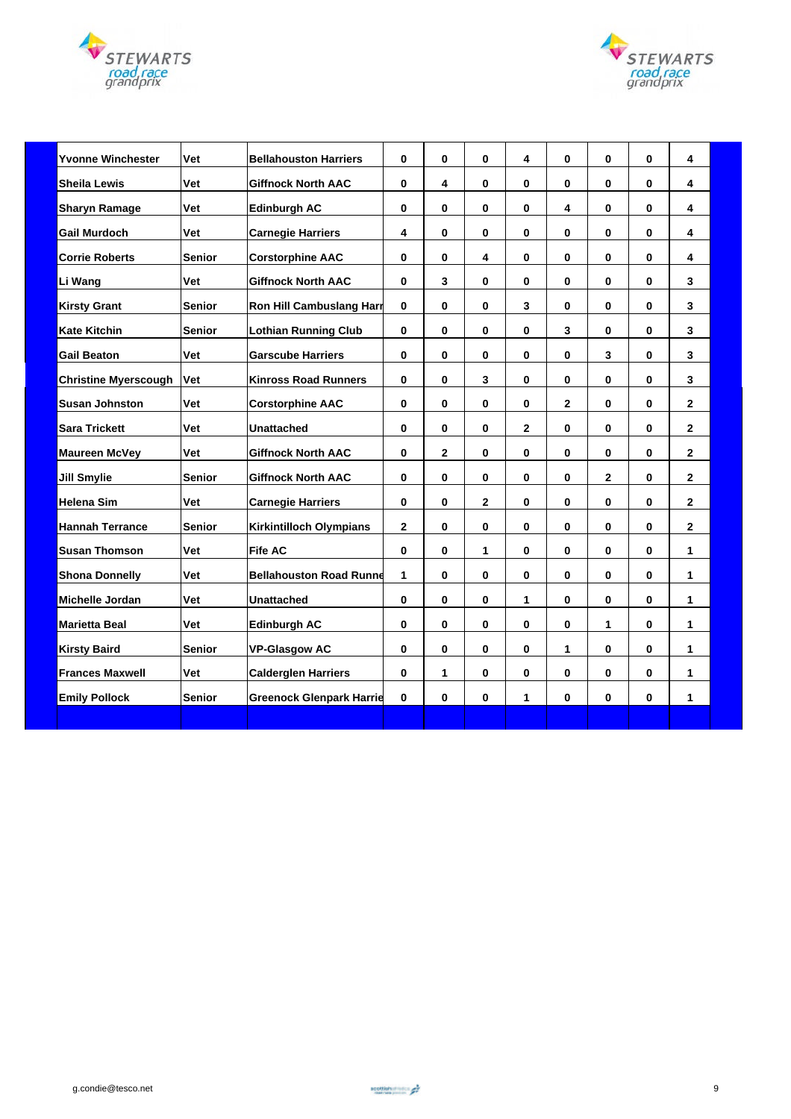



| <b>Yvonne Winchester</b>    | Vet           | <b>Bellahouston Harriers</b>    | $\bf{0}$     | $\bf{0}$     | $\bf{0}$     | 4        | 0            | $\bf{0}$       | 0 | 4            |
|-----------------------------|---------------|---------------------------------|--------------|--------------|--------------|----------|--------------|----------------|---|--------------|
| <b>Sheila Lewis</b>         | Vet           | <b>Giffnock North AAC</b>       | 0            | 4            | 0            | 0        | 0            | 0              | 0 | 4            |
| <b>Sharyn Ramage</b>        | Vet           | <b>Edinburgh AC</b>             | 0            | $\bf{0}$     | 0            | 0        | 4            | $\bf{0}$       | 0 | 4            |
| <b>Gail Murdoch</b>         | Vet           | <b>Carnegie Harriers</b>        | 4            | $\bf{0}$     | 0            | 0        | 0            | 0              | 0 | 4            |
| <b>Corrie Roberts</b>       | <b>Senior</b> | <b>Corstorphine AAC</b>         | 0            | $\bf{0}$     | 4            | 0        | 0            | $\bf{0}$       | 0 | 4            |
| Li Wang                     | Vet           | <b>Giffnock North AAC</b>       | 0            | 3            | 0            | 0        | 0            | $\bf{0}$       | 0 | 3            |
| <b>Kirsty Grant</b>         | <b>Senior</b> | <b>Ron Hill Cambuslang Harr</b> | $\bf{0}$     | $\bf{0}$     | 0            | 3        | 0            | $\bf{0}$       | 0 | 3            |
| <b>Kate Kitchin</b>         | <b>Senior</b> | <b>Lothian Running Club</b>     | 0            | $\bf{0}$     | 0            | 0        | 3            | $\bf{0}$       | 0 | 3            |
| <b>Gail Beaton</b>          | Vet           | <b>Garscube Harriers</b>        | 0            | $\bf{0}$     | 0            | 0        | 0            | 3              | 0 | 3            |
| <b>Christine Myerscough</b> | Vet           | <b>Kinross Road Runners</b>     | 0            | $\bf{0}$     | 3            | 0        | 0            | $\bf{0}$       | 0 | 3            |
| <b>Susan Johnston</b>       | Vet           | <b>Corstorphine AAC</b>         | 0            | $\bf{0}$     | 0            | 0        | $\mathbf{2}$ | $\bf{0}$       | 0 | $\mathbf{2}$ |
| <b>Sara Trickett</b>        | Vet           | <b>Unattached</b>               | 0            | $\bf{0}$     | 0            | 2        | 0            | 0              | 0 | $\mathbf{2}$ |
| <b>Maureen McVey</b>        | Vet           | <b>Giffnock North AAC</b>       | $\bf{0}$     | $\mathbf{2}$ | $\mathbf{0}$ | $\bf{0}$ | 0            | $\bf{0}$       | 0 | $\mathbf{2}$ |
| <b>Jill Smylie</b>          | <b>Senior</b> | <b>Giffnock North AAC</b>       | 0            | $\bf{0}$     | 0            | 0        | 0            | $\overline{2}$ | 0 | $\mathbf{2}$ |
| <b>Helena Sim</b>           | Vet           | <b>Carnegie Harriers</b>        | 0            | $\bf{0}$     | $\mathbf{2}$ | 0        | 0            | $\bf{0}$       | 0 | $\mathbf{2}$ |
| <b>Hannah Terrance</b>      | <b>Senior</b> | <b>Kirkintilloch Olympians</b>  | $\mathbf{2}$ | $\bf{0}$     | 0            | 0        | 0            | $\bf{0}$       | 0 | $\mathbf{2}$ |
| <b>Susan Thomson</b>        | Vet           | <b>Fife AC</b>                  | 0            | $\bf{0}$     | 1            | 0        | 0            | $\bf{0}$       | 0 | 1            |
| <b>Shona Donnelly</b>       | Vet           | <b>Bellahouston Road Runne</b>  | 1            | $\bf{0}$     | 0            | 0        | 0            | $\bf{0}$       | 0 | 1            |
| <b>Michelle Jordan</b>      | Vet           | Unattached                      | 0            | $\bf{0}$     | 0            | 1        | 0            | 0              | 0 | $\mathbf 1$  |
| <b>Marietta Beal</b>        | Vet           | <b>Edinburgh AC</b>             | $\bf{0}$     | $\bf{0}$     | 0            | $\bf{0}$ | 0            | 1              | 0 | 1            |
| <b>Kirsty Baird</b>         | <b>Senior</b> | <b>VP-Glasgow AC</b>            | 0            | $\bf{0}$     | 0            | 0        | $\mathbf{1}$ | $\bf{0}$       | 0 | $\mathbf{1}$ |
| <b>Frances Maxwell</b>      | Vet           | <b>Calderglen Harriers</b>      | 0            | 1            | 0            | 0        | 0            | 0              | 0 | $\mathbf{1}$ |
| <b>Emily Pollock</b>        | <b>Senior</b> | <b>Greenock Glenpark Harrie</b> | 0            | $\bf{0}$     | 0            | 1        | 0            | 0              | 0 | 1            |
|                             |               |                                 |              |              |              |          |              |                |   |              |

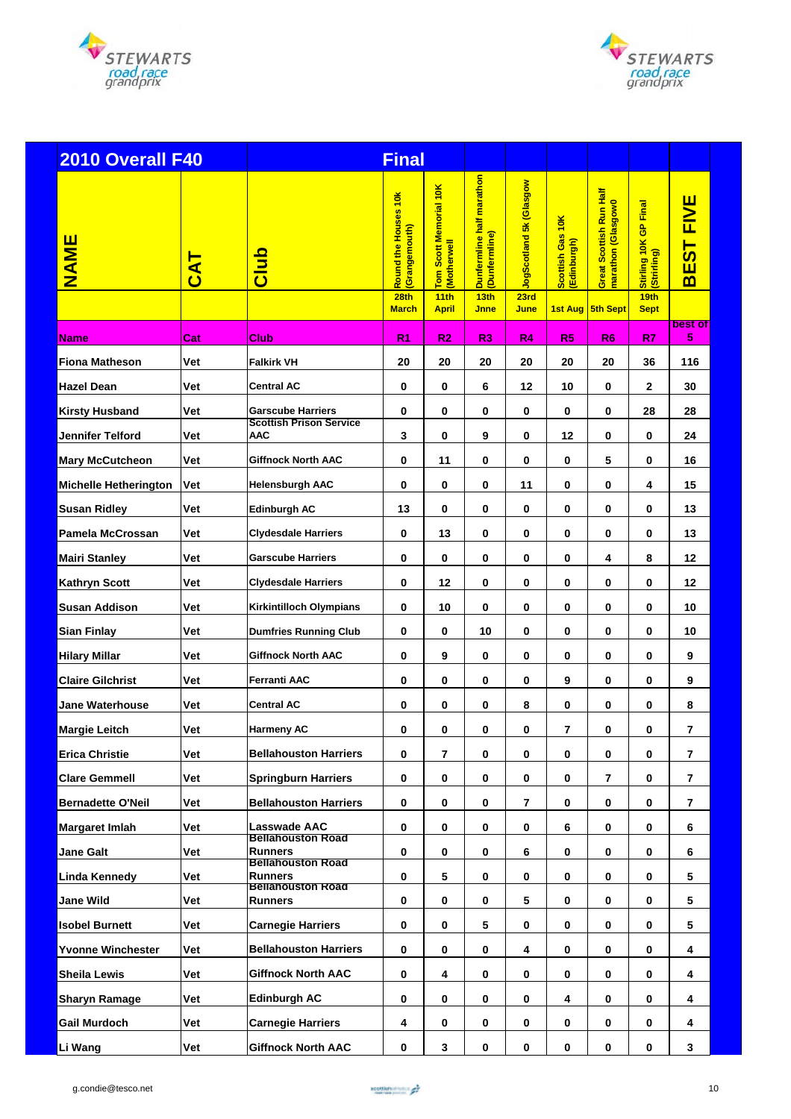



| 2010 Overall F40             |     |                                            | <b>Final</b>                                                             |                                                               |                                                                   |                                         |                                 |                                                                   |                                                             |                         |
|------------------------------|-----|--------------------------------------------|--------------------------------------------------------------------------|---------------------------------------------------------------|-------------------------------------------------------------------|-----------------------------------------|---------------------------------|-------------------------------------------------------------------|-------------------------------------------------------------|-------------------------|
| <b>NAME</b>                  | CAT | Club                                       | Round the Houses 10k<br>Grangemouth)<br>28 <sub>th</sub><br><b>March</b> | Tom Scott Memorial 10K<br>(Motherwell<br>11th<br><b>April</b> | Dunfermline half marathon<br>(Dunfermline)<br>13th<br><b>Jnne</b> | JogScotland 5k (Glasgow<br>23rd<br>June | Scottish Gas 10K<br>(Edinburgh) | Great Scottish Run Half<br>marathon (Glasgow0<br>1st Aug 5th Sept | Stirling 10K GP Final<br>(Strirling)<br>19th<br><b>Sept</b> | <b>BEST FIVE</b>        |
| <b>Name</b>                  | Cat | <b>Club</b>                                | R <sub>1</sub>                                                           | R <sub>2</sub>                                                | R3                                                                | R <sub>4</sub>                          | R <sub>5</sub>                  | R <sub>6</sub>                                                    | R7                                                          | best of<br>5            |
| <b>Fiona Matheson</b>        | Vet | <b>Falkirk VH</b>                          | 20                                                                       | 20                                                            | 20                                                                | 20                                      | 20                              | 20                                                                | 36                                                          | 116                     |
| Hazel Dean                   | Vet | <b>Central AC</b>                          | $\bf{0}$                                                                 | 0                                                             | 6                                                                 | 12                                      | 10                              | 0                                                                 | 2                                                           | 30                      |
| <b>Kirsty Husband</b>        | Vet | <b>Garscube Harriers</b>                   | 0                                                                        | 0                                                             | 0                                                                 | 0                                       | 0                               | 0                                                                 | 28                                                          | 28                      |
| <b>Jennifer Telford</b>      | Vet | Scottish Prison Service<br><b>AAC</b>      | 3                                                                        | 0                                                             | 9                                                                 | 0                                       | 12                              | 0                                                                 | 0                                                           | 24                      |
| <b>Mary McCutcheon</b>       | Vet | Giffnock North AAC                         | 0                                                                        | 11                                                            | 0                                                                 | 0                                       | 0                               | 5                                                                 | 0                                                           | 16                      |
| <b>Michelle Hetherington</b> | Vet | <b>Helensburgh AAC</b>                     | $\mathbf 0$                                                              | 0                                                             | 0                                                                 | 11                                      | 0                               | 0                                                                 | 4                                                           | 15                      |
| <b>Susan Ridley</b>          | Vet | <b>Edinburgh AC</b>                        | 13                                                                       | 0                                                             | 0                                                                 | 0                                       | 0                               | 0                                                                 | 0                                                           | 13                      |
| <b>Pamela McCrossan</b>      | Vet | <b>Clydesdale Harriers</b>                 | $\mathbf 0$                                                              | 13                                                            | $\bf{0}$                                                          | 0                                       | 0                               | 0                                                                 | 0                                                           | 13                      |
| <b>Mairi Stanley</b>         | Vet | <b>Garscube Harriers</b>                   | $\mathbf 0$                                                              | $\mathbf 0$                                                   | $\bf{0}$                                                          | 0                                       | 0                               | 4                                                                 | 8                                                           | 12                      |
| <b>Kathryn Scott</b>         | Vet | <b>Clydesdale Harriers</b>                 | 0                                                                        | 12                                                            | 0                                                                 | 0                                       | 0                               | 0                                                                 | 0                                                           | 12 <sub>2</sub>         |
| <b>Susan Addison</b>         | Vet | Kirkintilloch Olympians                    | 0                                                                        | 10                                                            | 0                                                                 | 0                                       | 0                               | 0                                                                 | 0                                                           | 10                      |
| <b>Sian Finlay</b>           | Vet | <b>Dumfries Running Club</b>               | 0                                                                        | 0                                                             | 10                                                                | 0                                       | 0                               | 0                                                                 | 0                                                           | 10                      |
| <b>Hilary Millar</b>         | Vet | Giffnock North AAC                         | 0                                                                        | 9                                                             | $\mathbf 0$                                                       | 0                                       | 0                               | 0                                                                 | 0                                                           | 9                       |
| <b>Claire Gilchrist</b>      | Vet | <b>Ferranti AAC</b>                        | 0                                                                        | 0                                                             | 0                                                                 | 0                                       | 9                               | 0                                                                 | 0                                                           | 9                       |
| <b>Jane Waterhouse</b>       | Vet | <b>Central AC</b>                          | 0                                                                        | 0                                                             | $\bf{0}$                                                          | 8                                       | 0                               | 0                                                                 | 0                                                           | 8                       |
| <b>Margie Leitch</b>         | Vet | <b>Harmeny AC</b>                          | 0                                                                        | 0                                                             | 0                                                                 | 0                                       | 7                               | 0                                                                 | 0                                                           | $\overline{\mathbf{r}}$ |
| <b>Erica Christie</b>        | Vet | <b>Bellahouston Harriers</b>               | $\bf{0}$                                                                 | 7                                                             | 0                                                                 | 0                                       | 0                               | 0                                                                 | 0                                                           | $\overline{\mathbf{r}}$ |
| <b>Clare Gemmell</b>         | Vet | <b>Springburn Harriers</b>                 | 0                                                                        | 0                                                             | 0                                                                 | 0                                       | 0                               | 7                                                                 | 0                                                           | $\overline{\mathbf{r}}$ |
| <b>Bernadette O'Neil</b>     | Vet | <b>Bellahouston Harriers</b>               | $\bf{0}$                                                                 | 0                                                             | 0                                                                 | $\overline{7}$                          | 0                               | 0                                                                 | 0                                                           | 7                       |
| <b>Margaret Imlah</b>        | Vet | Lasswade AAC                               | $\bf{0}$                                                                 | 0                                                             | 0                                                                 | 0                                       | 6                               | 0                                                                 | 0                                                           | 6                       |
| <b>Jane Galt</b>             | Vet | <b>Bellahouston Road</b><br><b>Runners</b> | 0                                                                        | 0                                                             | 0                                                                 | 6                                       | 0                               | 0                                                                 | 0                                                           | 6                       |
| <b>Linda Kennedy</b>         | Vet | <b>Bellahouston Road</b><br>Runners        | $\pmb{0}$                                                                | 5                                                             | 0                                                                 | 0                                       | 0                               | 0                                                                 | 0                                                           | 5                       |
| <b>Jane Wild</b>             | Vet | <b>Bellahouston Road</b><br><b>Runners</b> | $\mathbf 0$                                                              | $\mathbf 0$                                                   | 0                                                                 | 5                                       | 0                               | 0                                                                 | 0                                                           | 5                       |
| <b>Isobel Burnett</b>        | Vet | <b>Carnegie Harriers</b>                   | $\mathbf 0$                                                              | $\mathbf 0$                                                   | 5                                                                 | 0                                       | 0                               | 0                                                                 | 0                                                           | 5                       |
| <b>Yvonne Winchester</b>     | Vet | <b>Bellahouston Harriers</b>               | 0                                                                        | 0                                                             | 0                                                                 | 4                                       | 0                               | 0                                                                 | 0                                                           | 4                       |
| <b>Sheila Lewis</b>          | Vet | <b>Giffnock North AAC</b>                  | $\mathbf 0$                                                              | 4                                                             | 0                                                                 | 0                                       | 0                               | 0                                                                 | 0                                                           | 4                       |
| <b>Sharyn Ramage</b>         | Vet | <b>Edinburgh AC</b>                        | 0                                                                        | 0                                                             | $\mathbf 0$                                                       | 0                                       | 4                               | 0                                                                 | 0                                                           | 4                       |
| <b>Gail Murdoch</b>          | Vet | <b>Carnegie Harriers</b>                   | 4                                                                        | 0                                                             | 0                                                                 | 0                                       | 0                               | 0                                                                 | 0                                                           | 4                       |
| Li Wang                      | Vet | <b>Giffnock North AAC</b>                  | $\pmb{0}$                                                                | 3                                                             | $\pmb{0}$                                                         | $\pmb{0}$                               | $\bf{0}$                        | 0                                                                 | 0                                                           | $\mathbf{3}$            |